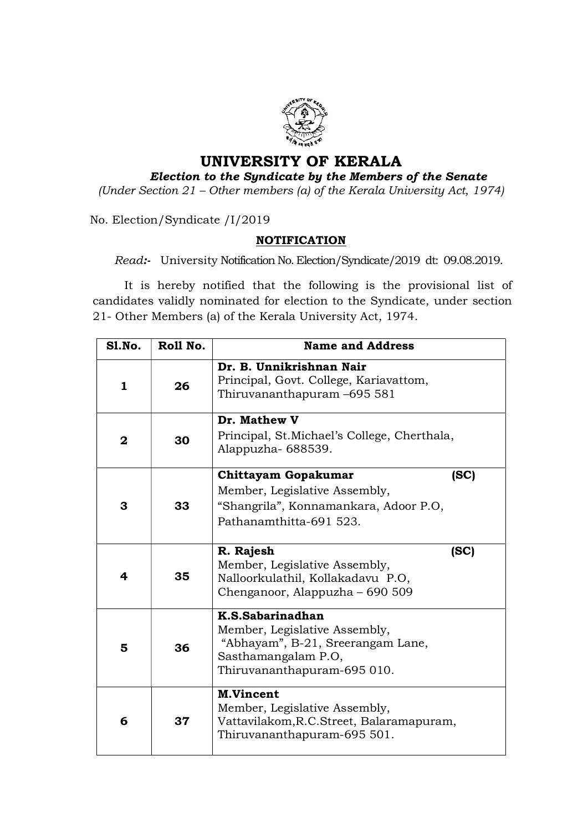

## UNIVERSITY OF KERALA

## Election to the Syndicate by the Members of the Senate

(Under Section 21 – Other members (a) of the Kerala University Act, 1974)

No. Election/Syndicate /I/2019

## NOTIFICATION

Read:- University Notification No. Election/Syndicate/2019 dt: 09.08.2019.

 It is hereby notified that the following is the provisional list of candidates validly nominated for election to the Syndicate, under section 21- Other Members (a) of the Kerala University Act, 1974.

| <b>S1.No.</b> | Roll No. | <b>Name and Address</b>                                                                                                                      |
|---------------|----------|----------------------------------------------------------------------------------------------------------------------------------------------|
| 1             | 26       | Dr. B. Unnikrishnan Nair<br>Principal, Govt. College, Kariavattom,<br>Thiruvananthapuram-695 581                                             |
| $\mathbf{2}$  | 30       | Dr. Mathew V<br>Principal, St. Michael's College, Cherthala,<br>Alappuzha-688539.                                                            |
| 3             | 33       | Chittayam Gopakumar<br>(SC)<br>Member, Legislative Assembly,<br>"Shangrila", Konnamankara, Adoor P.O,<br>Pathanamthitta-691 523.             |
| 4             | 35       | R. Rajesh<br>(SC)<br>Member, Legislative Assembly,<br>Nalloorkulathil, Kollakadavu P.O,<br>Chenganoor, Alappuzha – 690 509                   |
| 5             | 36       | K.S.Sabarinadhan<br>Member, Legislative Assembly,<br>"Abhayam", B-21, Sreerangam Lane,<br>Sasthamangalam P.O,<br>Thiruvananthapuram-695 010. |
| 6             | 37       | <b>M.Vincent</b><br>Member, Legislative Assembly,<br>Vattavilakom, R.C. Street, Balaramapuram,<br>Thiruvananthapuram-695 501.                |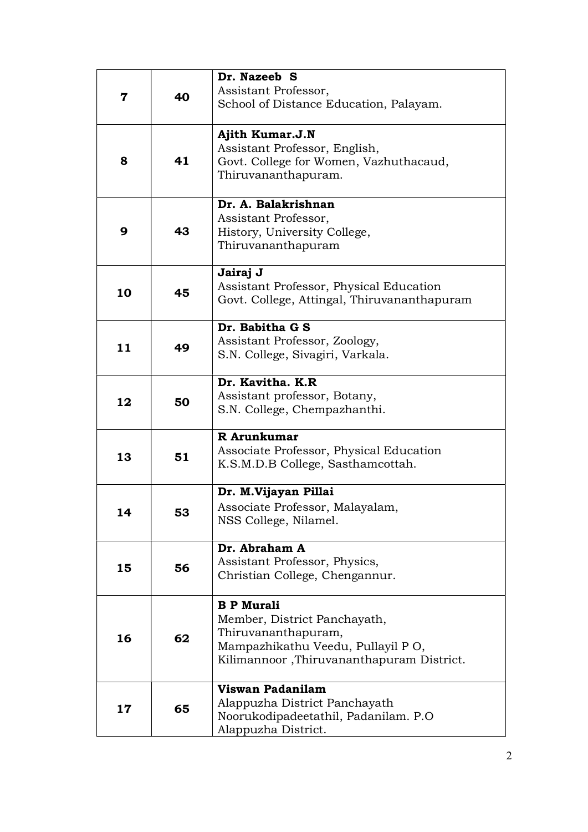| 7  | 40 | Dr. Nazeeb S<br>Assistant Professor,<br>School of Distance Education, Palayam.                                                                             |
|----|----|------------------------------------------------------------------------------------------------------------------------------------------------------------|
| 8  | 41 | Ajith Kumar.J.N<br>Assistant Professor, English,<br>Govt. College for Women, Vazhuthacaud,<br>Thiruvananthapuram.                                          |
| 9  | 43 | Dr. A. Balakrishnan<br>Assistant Professor,<br>History, University College,<br>Thiruvananthapuram                                                          |
| 10 | 45 | Jairaj J<br>Assistant Professor, Physical Education<br>Govt. College, Attingal, Thiruvananthapuram                                                         |
| 11 | 49 | Dr. Babitha G S<br>Assistant Professor, Zoology,<br>S.N. College, Sivagiri, Varkala.                                                                       |
| 12 | 50 | Dr. Kavitha. K.R<br>Assistant professor, Botany,<br>S.N. College, Chempazhanthi.                                                                           |
| 13 | 51 | R Arunkumar<br>Associate Professor, Physical Education<br>K.S.M.D.B College, Sasthamcottah.                                                                |
| 14 | 53 | Dr. M.Vijayan Pillai<br>Associate Professor, Malayalam,<br>NSS College, Nilamel.                                                                           |
| 15 | 56 | Dr. Abraham A<br>Assistant Professor, Physics,<br>Christian College, Chengannur.                                                                           |
| 16 | 62 | <b>B P Murali</b><br>Member, District Panchayath,<br>Thiruvananthapuram,<br>Mampazhikathu Veedu, Pullayil PO,<br>Kilimannoor, Thiruvananthapuram District. |
| 17 | 65 | Viswan Padanilam<br>Alappuzha District Panchayath<br>Noorukodipadeetathil, Padanilam. P.O<br>Alappuzha District.                                           |